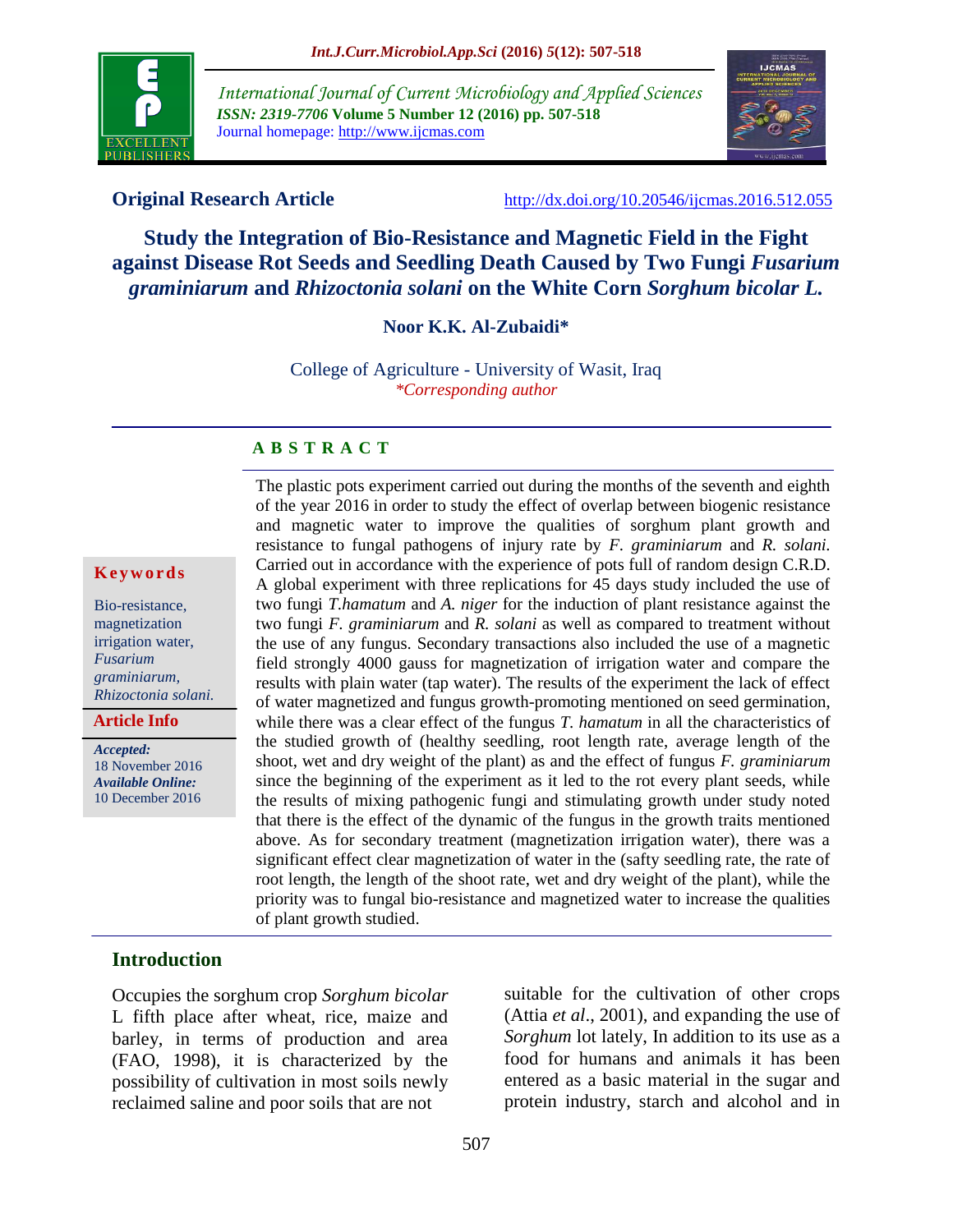

*International Journal of Current Microbiology and Applied Sciences ISSN: 2319-7706* **Volume 5 Number 12 (2016) pp. 507-518** Journal homepage: http://www.ijcmas.com



**Original Research Article** <http://dx.doi.org/10.20546/ijcmas.2016.512.055>

**Study the Integration of Bio-Resistance and Magnetic Field in the Fight against Disease Rot Seeds and Seedling Death Caused by Two Fungi Fusarium** *graminiarum* **and** *Rhizoctonia solani* **on the White Corn** *Sorghum bicolar L.*

**Noor K.K. Al-Zubaidi\***

College of Agriculture - University of Wasit, Iraq *\*Corresponding author*

#### **A B S T R A C T**

#### **K e y w o r d s**

Bio-resistance, magnetization irrigation water, *Fusarium graminiarum, Rhizoctonia solani.*

**Article Info**

*Accepted:*  18 November 2016 *Available Online:* 10 December 2016

The plastic pots experiment carried out during the months of the seventh and eighth of the year 2016 in order to study the effect of overlap between biogenic resistance and magnetic water to improve the qualities of sorghum plant growth and resistance to fungal pathogens of injury rate by *F. graminiarum* and *R. solani.*  Carried out in accordance with the experience of pots full of random design C.R.D. A global experiment with three replications for 45 days study included the use of two fungi *T.hamatum* and *A. niger* for the induction of plant resistance against the two fungi *F. graminiarum* and *R. solani* as well as compared to treatment without the use of any fungus. Secondary transactions also included the use of a magnetic field strongly 4000 gauss for magnetization of irrigation water and compare the results with plain water (tap water). The results of the experiment the lack of effect of water magnetized and fungus growth-promoting mentioned on seed germination, while there was a clear effect of the fungus *T. hamatum* in all the characteristics of the studied growth of (healthy seedling, root length rate, average length of the shoot, wet and dry weight of the plant) as and the effect of fungus *F. graminiarum* since the beginning of the experiment as it led to the rot every plant seeds, while the results of mixing pathogenic fungi and stimulating growth under study noted that there is the effect of the dynamic of the fungus in the growth traits mentioned above. As for secondary treatment (magnetization irrigation water), there was a significant effect clear magnetization of water in the (safty seedling rate, the rate of root length, the length of the shoot rate, wet and dry weight of the plant), while the priority was to fungal bio-resistance and magnetized water to increase the qualities of plant growth studied.

## **Introduction**

Occupies the sorghum crop *Sorghum bicolar* L fifth place after wheat, rice, maize and barley, in terms of production and area (FAO, 1998), it is characterized by the possibility of cultivation in most soils newly reclaimed saline and poor soils that are not

suitable for the cultivation of other crops (Attia *et al*., 2001), and expanding the use of *Sorghum* lot lately, In addition to its use as a food for humans and animals it has been entered as a basic material in the sugar and protein industry, starch and alcohol and in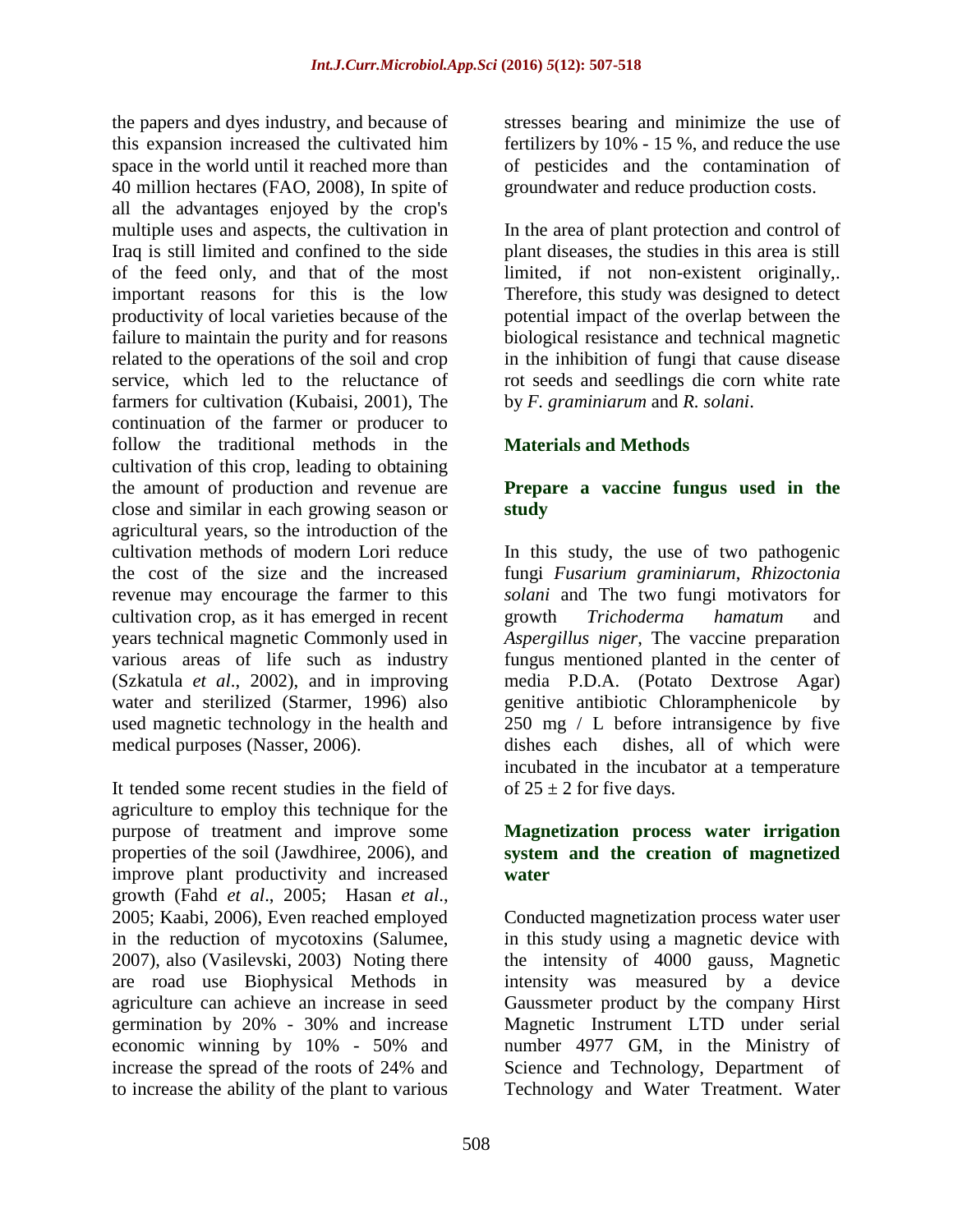the papers and dyes industry, and because of this expansion increased the cultivated him space in the world until it reached more than 40 million hectares (FAO, 2008), In spite of all the advantages enjoyed by the crop's multiple uses and aspects, the cultivation in Iraq is still limited and confined to the side of the feed only, and that of the most important reasons for this is the low productivity of local varieties because of the failure to maintain the purity and for reasons related to the operations of the soil and crop service, which led to the reluctance of farmers for cultivation (Kubaisi, 2001), The continuation of the farmer or producer to follow the traditional methods in the cultivation of this crop, leading to obtaining the amount of production and revenue are close and similar in each growing season or agricultural years, so the introduction of the cultivation methods of modern Lori reduce the cost of the size and the increased revenue may encourage the farmer to this cultivation crop, as it has emerged in recent years technical magnetic Commonly used in various areas of life such as industry (Szkatula *et al*., 2002), and in improving water and sterilized (Starmer, 1996) also used magnetic technology in the health and medical purposes (Nasser, 2006).

It tended some recent studies in the field of agriculture to employ this technique for the purpose of treatment and improve some properties of the soil (Jawdhiree, 2006), and improve plant productivity and increased growth (Fahd *et al*., 2005; Hasan *et al*., 2005; Kaabi, 2006), Even reached employed in the reduction of mycotoxins (Salumee, 2007), also (Vasilevski, 2003) Noting there are road use Biophysical Methods in agriculture can achieve an increase in seed germination by 20% - 30% and increase economic winning by 10% - 50% and increase the spread of the roots of 24% and to increase the ability of the plant to various

stresses bearing and minimize the use of fertilizers by 10% - 15 %, and reduce the use of pesticides and the contamination of groundwater and reduce production costs.

In the area of plant protection and control of plant diseases, the studies in this area is still limited, if not non-existent originally,. Therefore, this study was designed to detect potential impact of the overlap between the biological resistance and technical magnetic in the inhibition of fungi that cause disease rot seeds and seedlings die corn white rate by *F. graminiarum* and *R. solani*.

## **Materials and Methods**

## **Prepare a vaccine fungus used in the study**

In this study, the use of two pathogenic fungi *Fusarium graminiarum*, *Rhizoctonia solani* and The two fungi motivators for growth *Trichoderma hamatum* and *Aspergillus niger*, The vaccine preparation fungus mentioned planted in the center of media P.D.A. (Potato Dextrose Agar) genitive antibiotic Chloramphenicole by 250 mg / L before intransigence by five dishes each dishes, all of which were incubated in the incubator at a temperature of  $25 \pm 2$  for five days.

### **Magnetization process water irrigation system and the creation of magnetized water**

Conducted magnetization process water user in this study using a magnetic device with the intensity of 4000 gauss, Magnetic intensity was measured by a device Gaussmeter product by the company Hirst Magnetic Instrument LTD under serial number 4977 GM, in the Ministry of Science and Technology, Department of Technology and Water Treatment. Water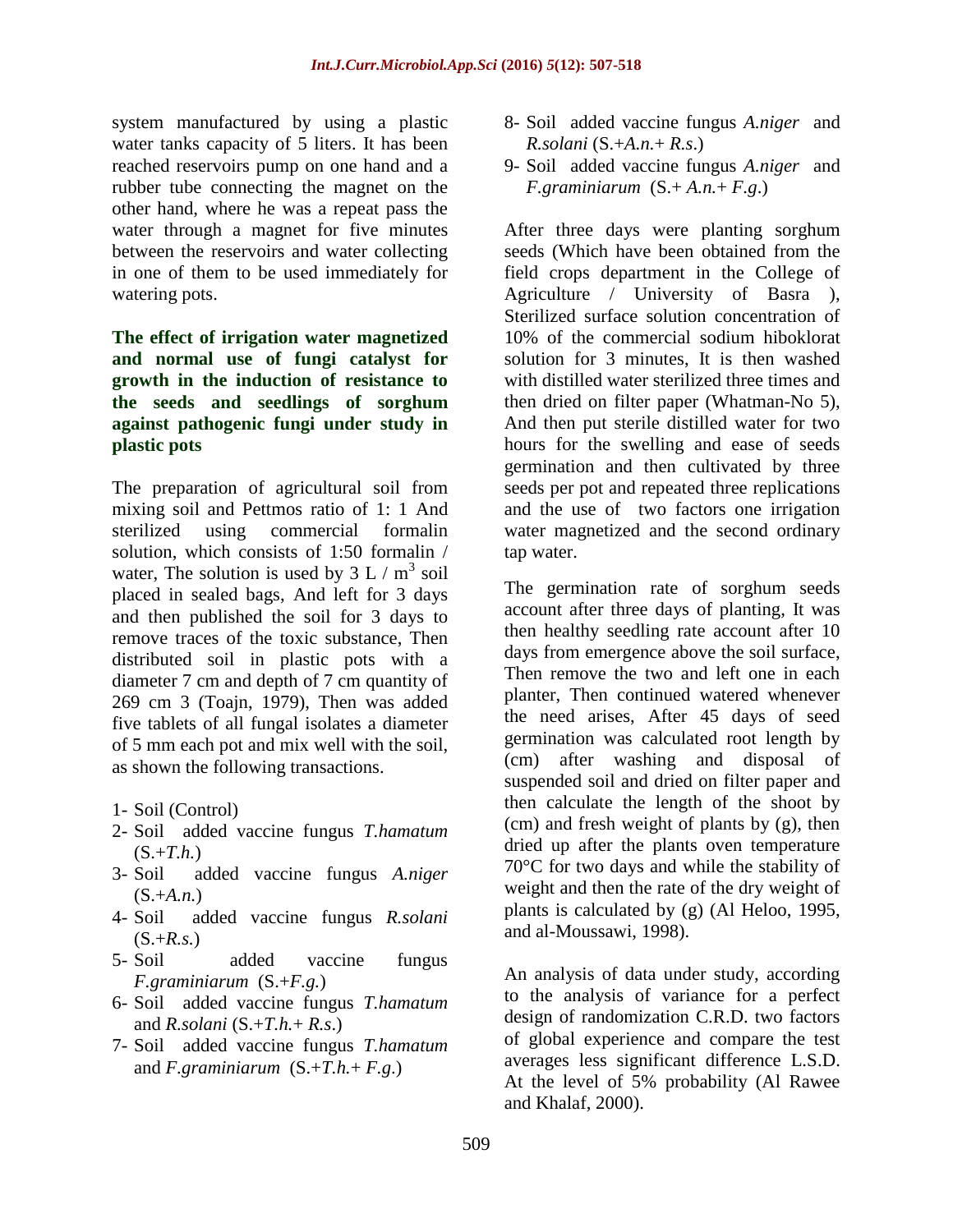system manufactured by using a plastic water tanks capacity of 5 liters. It has been reached reservoirs pump on one hand and a rubber tube connecting the magnet on the other hand, where he was a repeat pass the water through a magnet for five minutes between the reservoirs and water collecting in one of them to be used immediately for watering pots.

## **The effect of irrigation water magnetized and normal use of fungi catalyst for growth in the induction of resistance to the seeds and seedlings of sorghum against pathogenic fungi under study in plastic pots**

The preparation of agricultural soil from mixing soil and Pettmos ratio of 1: 1 And sterilized using commercial formalin solution, which consists of 1:50 formalin / water, The solution is used by  $3 L / m<sup>3</sup>$  soil placed in sealed bags, And left for 3 days and then published the soil for 3 days to remove traces of the toxic substance, Then distributed soil in plastic pots with a diameter 7 cm and depth of 7 cm quantity of 269 cm 3 (Toajn, 1979), Then was added five tablets of all fungal isolates a diameter of 5 mm each pot and mix well with the soil, as shown the following transactions.

- 1- Soil (Control)
- 2- Soil added vaccine fungus *T.hamatum*   $(S.+T.h.)$
- 3- Soil added vaccine fungus *A.niger*  (S.+*A.n.*)
- 4- Soil added vaccine fungus *R.solani*   $(S.+R.s.)$
- 5- Soil added vaccine fungus *F.graminiarum* (S.+*F.g.*)
- 6- Soil added vaccine fungus *T.hamatum*  and *R.solani* (S.+*T.h.*+ *R.s*.)
- 7- Soil added vaccine fungus *T.hamatum*  and  $F_{\text{eq}}$ *F.graminiarum*  $(S_{\text{eq}} + T_{\text{eq}} + F_{\text{eq}})$
- 8- Soil added vaccine fungus *A.niger* and *R.solani* (S.+*A.n.*+ *R.s*.)
- 9- Soil added vaccine fungus *A.niger* and *F.graminiarum* (S.+ *A.n.*+ *F.g*.)

After three days were planting sorghum seeds (Which have been obtained from the field crops department in the College of Agriculture / University of Basra ), Sterilized surface solution concentration of 10% of the commercial sodium hiboklorat solution for 3 minutes, It is then washed with distilled water sterilized three times and then dried on filter paper (Whatman-No 5), And then put sterile distilled water for two hours for the swelling and ease of seeds germination and then cultivated by three seeds per pot and repeated three replications and the use of two factors one irrigation water magnetized and the second ordinary tap water.

The germination rate of sorghum seeds account after three days of planting, It was then healthy seedling rate account after 10 days from emergence above the soil surface, Then remove the two and left one in each planter, Then continued watered whenever the need arises, After 45 days of seed germination was calculated root length by (cm) after washing and disposal of suspended soil and dried on filter paper and then calculate the length of the shoot by (cm) and fresh weight of plants by (g), then dried up after the plants oven temperature 70°C for two days and while the stability of weight and then the rate of the dry weight of plants is calculated by (g) (Al Heloo, 1995, and al-Moussawi, 1998).

An analysis of data under study, according to the analysis of variance for a perfect design of randomization C.R.D. two factors of global experience and compare the test averages less significant difference L.S.D. At the level of 5% probability (Al Rawee and Khalaf, 2000).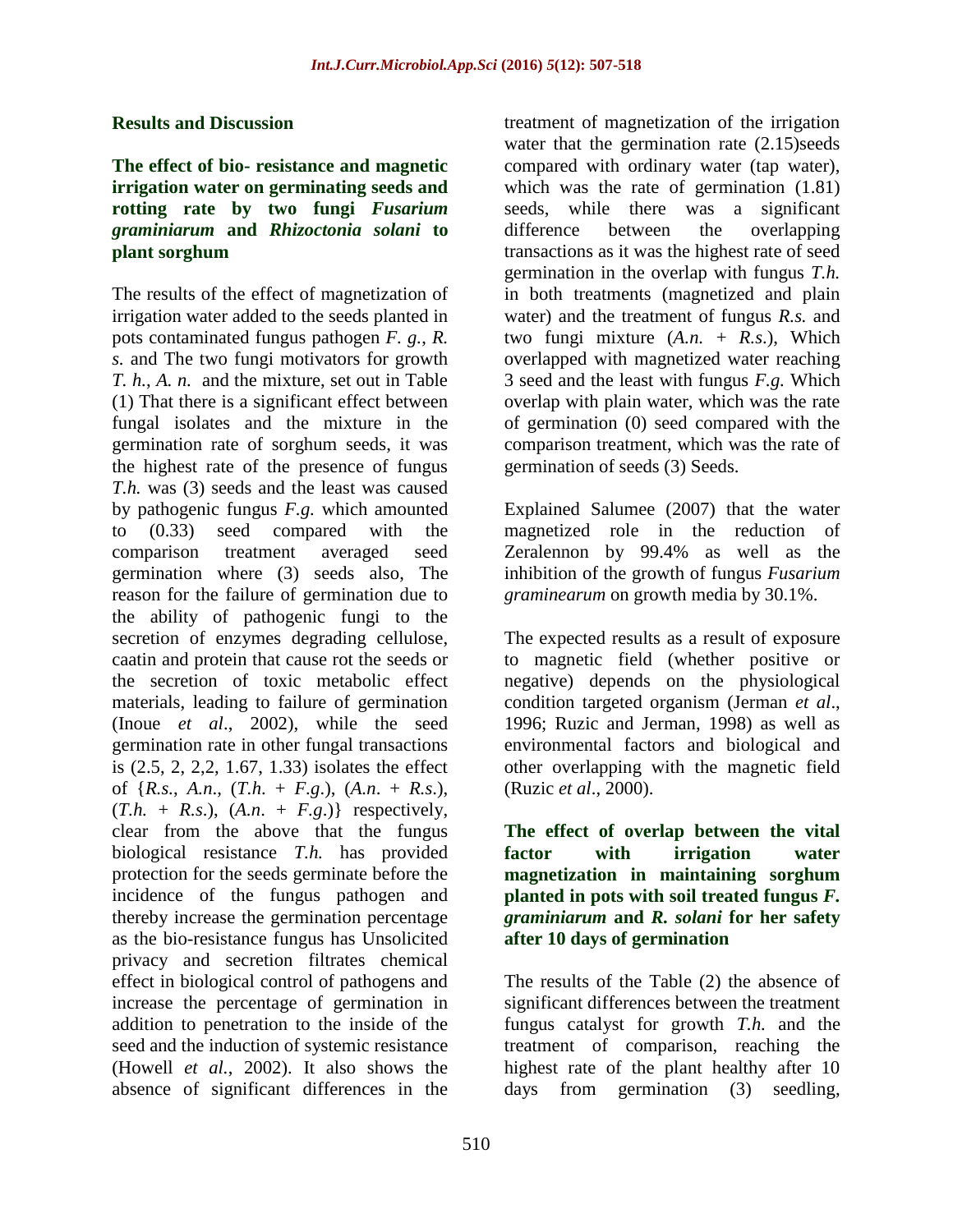#### **Results and Discussion**

## **The effect of bio- resistance and magnetic irrigation water on germinating seeds and rotting rate by two fungi** *Fusarium graminiarum* **and** *Rhizoctonia solani* **to plant sorghum**

The results of the effect of magnetization of irrigation water added to the seeds planted in pots contaminated fungus pathogen *F. g.*, *R. s.* and The two fungi motivators for growth *T. h.*, *A. n.* and the mixture, set out in Table (1) That there is a significant effect between fungal isolates and the mixture in the germination rate of sorghum seeds, it was the highest rate of the presence of fungus *T.h.* was (3) seeds and the least was caused by pathogenic fungus *F.g.* which amounted to (0.33) seed compared with the comparison treatment averaged seed germination where (3) seeds also, The reason for the failure of germination due to the ability of pathogenic fungi to the secretion of enzymes degrading cellulose, caatin and protein that cause rot the seeds or the secretion of toxic metabolic effect materials, leading to failure of germination (Inoue *et al*., 2002), while the seed germination rate in other fungal transactions is (2.5, 2, 2,2, 1.67, 1.33) isolates the effect of {*R.s.*, *A.n*., (*T.h*. + *F.g*.), (*A.n*. + *R.s*.),  $(T.h. + R.s.), (A.n. + F.g.)$ } respectively, clear from the above that the fungus biological resistance *T.h.* has provided protection for the seeds germinate before the incidence of the fungus pathogen and thereby increase the germination percentage as the bio-resistance fungus has Unsolicited privacy and secretion filtrates chemical effect in biological control of pathogens and increase the percentage of germination in addition to penetration to the inside of the seed and the induction of systemic resistance (Howell *et al.*, 2002). It also shows the absence of significant differences in the

treatment of magnetization of the irrigation water that the germination rate  $(2.15)$ seeds compared with ordinary water (tap water), which was the rate of germination  $(1.81)$ seeds, while there was a significant difference between the overlapping transactions as it was the highest rate of seed germination in the overlap with fungus *T.h.* in both treatments (magnetized and plain water) and the treatment of fungus *R.s.* and two fungi mixture  $(A.n. + R.s.)$ , Which overlapped with magnetized water reaching 3 seed and the least with fungus *F.g.* Which overlap with plain water, which was the rate of germination (0) seed compared with the comparison treatment, which was the rate of germination of seeds (3) Seeds.

Explained Salumee (2007) that the water magnetized role in the reduction of Zeralennon by 99.4% as well as the inhibition of the growth of fungus *Fusarium graminearum* on growth media by 30.1%.

The expected results as a result of exposure to magnetic field (whether positive or negative) depends on the physiological condition targeted organism (Jerman *et al*., 1996; Ruzic and Jerman, 1998) as well as environmental factors and biological and other overlapping with the magnetic field (Ruzic *et al*., 2000).

**The effect of overlap between the vital factor with irrigation water magnetization in maintaining sorghum planted in pots with soil treated fungus** *F. graminiarum* **and** *R. solani* **for her safety after 10 days of germination**

The results of the Table (2) the absence of significant differences between the treatment fungus catalyst for growth *T.h.* and the treatment of comparison, reaching the highest rate of the plant healthy after 10 days from germination (3) seedling,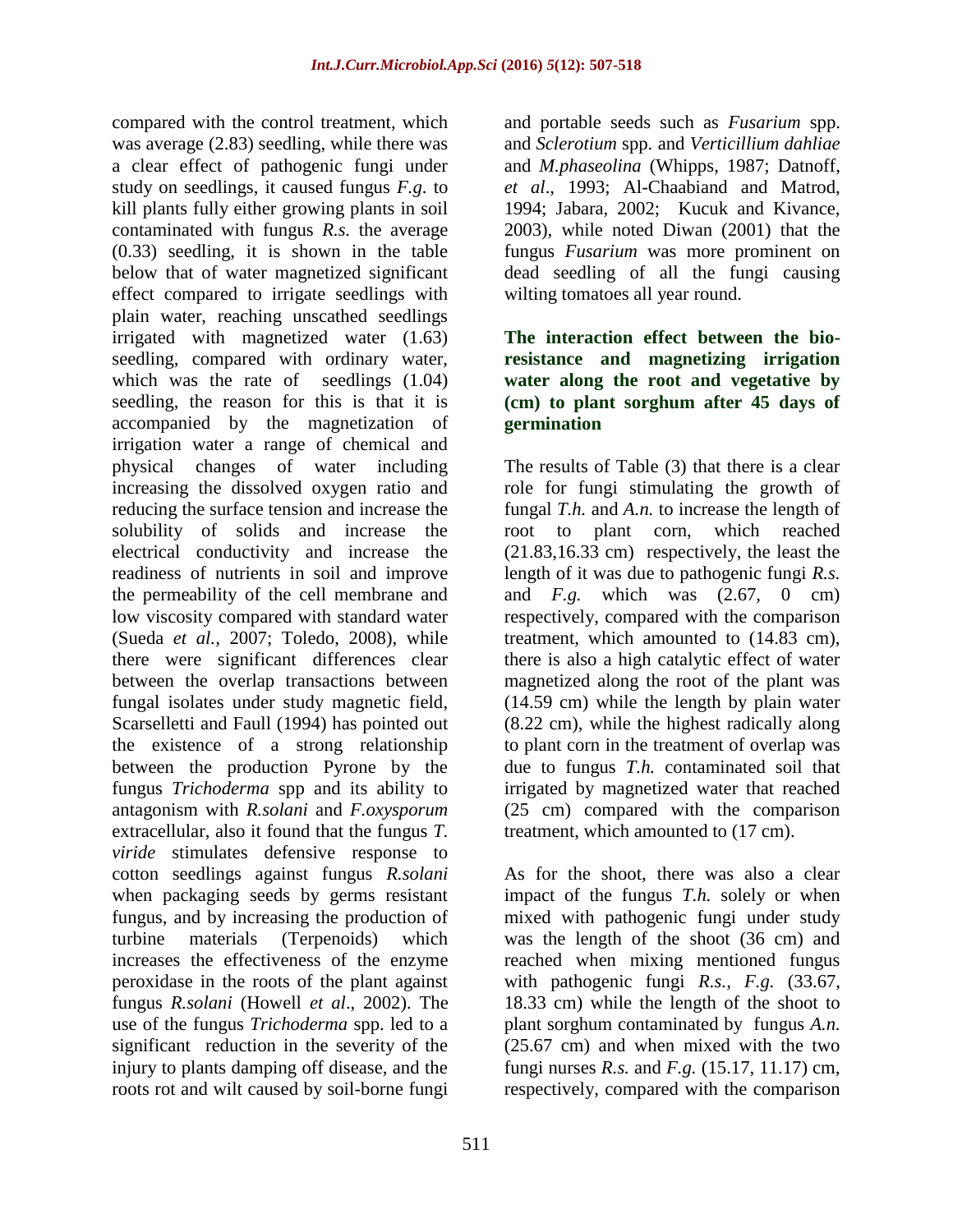compared with the control treatment, which was average (2.83) seedling, while there was a clear effect of pathogenic fungi under study on seedlings, it caused fungus *F.g*. to kill plants fully either growing plants in soil contaminated with fungus *R.s.* the average (0.33) seedling, it is shown in the table below that of water magnetized significant effect compared to irrigate seedlings with plain water, reaching unscathed seedlings irrigated with magnetized water (1.63) seedling, compared with ordinary water, which was the rate of seedlings  $(1.04)$ seedling, the reason for this is that it is accompanied by the magnetization of irrigation water a range of chemical and physical changes of water including increasing the dissolved oxygen ratio and reducing the surface tension and increase the solubility of solids and increase the electrical conductivity and increase the readiness of nutrients in soil and improve the permeability of the cell membrane and low viscosity compared with standard water (Sueda *et al.,* 2007; Toledo, 2008), while there were significant differences clear between the overlap transactions between fungal isolates under study magnetic field, Scarselletti and Faull (1994) has pointed out the existence of a strong relationship between the production Pyrone by the fungus *Trichoderma* spp and its ability to antagonism with *R.solani* and *F.oxysporum* extracellular, also it found that the fungus *T. viride* stimulates defensive response to cotton seedlings against fungus *R.solani* when packaging seeds by germs resistant fungus, and by increasing the production of turbine materials (Terpenoids) which increases the effectiveness of the enzyme peroxidase in the roots of the plant against fungus *R.solani* (Howell *et al*., 2002). The use of the fungus *Trichoderma* spp. led to a significant reduction in the severity of the injury to plants damping off disease, and the roots rot and wilt caused by soil-borne fungi

and portable seeds such as *Fusarium* spp. and *Sclerotium* spp. and *Verticillium dahliae* and *M.phaseolina* (Whipps, 1987; Datnoff, *et al*., 1993; Al-Chaabiand and Matrod, 1994; Jabara, 2002; Kucuk and Kivance, 2003), while noted Diwan (2001) that the fungus *Fusarium* was more prominent on dead seedling of all the fungi causing wilting tomatoes all year round.

## **The interaction effect between the bioresistance and magnetizing irrigation water along the root and vegetative by (cm) to plant sorghum after 45 days of germination**

The results of Table (3) that there is a clear role for fungi stimulating the growth of fungal *T.h.* and *A.n.* to increase the length of root to plant corn, which reached (21.83,16.33 cm) respectively, the least the length of it was due to pathogenic fungi *R.s.* and *F.g.* which was (2.67, 0 cm) respectively, compared with the comparison treatment, which amounted to (14.83 cm), there is also a high catalytic effect of water magnetized along the root of the plant was (14.59 cm) while the length by plain water (8.22 cm), while the highest radically along to plant corn in the treatment of overlap was due to fungus *T.h.* contaminated soil that irrigated by magnetized water that reached (25 cm) compared with the comparison treatment, which amounted to (17 cm).

As for the shoot, there was also a clear impact of the fungus *T.h.* solely or when mixed with pathogenic fungi under study was the length of the shoot (36 cm) and reached when mixing mentioned fungus with pathogenic fungi *R.s., F.g.* (33.67, 18.33 cm) while the length of the shoot to plant sorghum contaminated by fungus *A.n.* (25.67 cm) and when mixed with the two fungi nurses *R.s.* and *F.g.* (15.17, 11.17) cm, respectively, compared with the comparison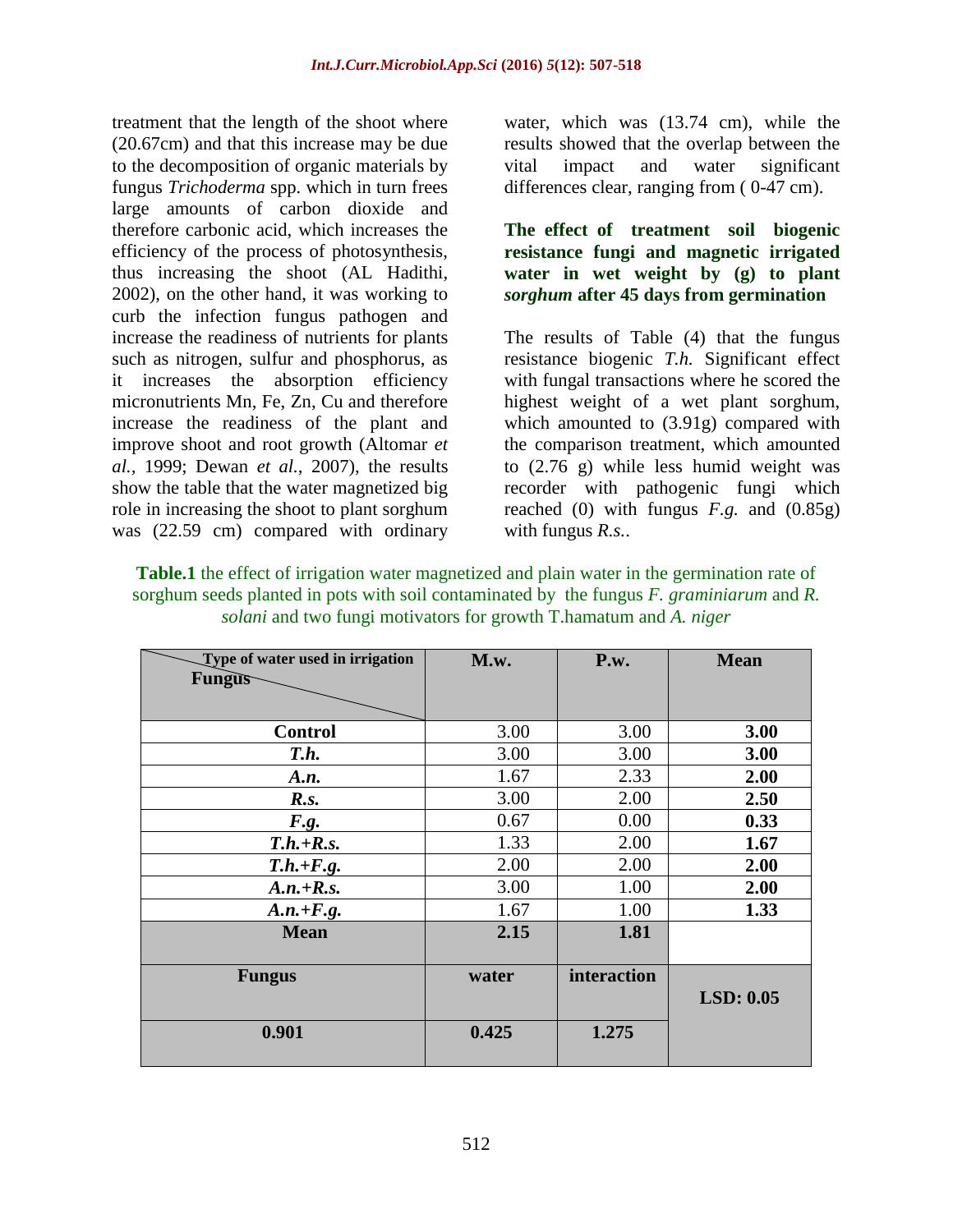treatment that the length of the shoot where (20.67cm) and that this increase may be due to the decomposition of organic materials by fungus *Trichoderma* spp. which in turn frees large amounts of carbon dioxide and therefore carbonic acid, which increases the efficiency of the process of photosynthesis, thus increasing the shoot (AL Hadithi, 2002), on the other hand, it was working to curb the infection fungus pathogen and increase the readiness of nutrients for plants such as nitrogen, sulfur and phosphorus, as it increases the absorption efficiency micronutrients Mn, Fe, Zn, Cu and therefore increase the readiness of the plant and improve shoot and root growth (Altomar *et al.,* 1999; Dewan *et al.,* 2007), the results show the table that the water magnetized big role in increasing the shoot to plant sorghum was (22.59 cm) compared with ordinary

water, which was (13.74 cm), while the results showed that the overlap between the vital impact and water significant differences clear, ranging from ( 0-47 cm).

## **The effect of treatment soil biogenic resistance fungi and magnetic irrigated water in wet weight by (g) to plant**  *sorghum* **after 45 days from germination**

The results of Table (4) that the fungus resistance biogenic *T.h.* Significant effect with fungal transactions where he scored the highest weight of a wet plant sorghum, which amounted to (3.91g) compared with the comparison treatment, which amounted to (2.76 g) while less humid weight was recorder with pathogenic fungi which reached (0) with fungus *F.g.* and (0.85g) with fungus *R.s.*.

| <b>Table.1</b> the effect of irrigation water magnetized and plain water in the germination rate of |
|-----------------------------------------------------------------------------------------------------|
| sorghum seeds planted in pots with soil contaminated by the fungus F, graminiarum and R.            |
| <i>solani</i> and two fungi motivators for growth T.hamatum and A. <i>niger</i>                     |

| Type of water used in irrigation<br><b>Fungus</b> | M.w.  | P.w.        | <b>Mean</b> |
|---------------------------------------------------|-------|-------------|-------------|
|                                                   |       |             |             |
| <b>Control</b>                                    | 3.00  | 3.00        | 3.00        |
| T.h.                                              | 3.00  | 3.00        | 3.00        |
| A.n.                                              | 1.67  | 2.33        | 2.00        |
| R.s.                                              | 3.00  | 2.00        | 2.50        |
| F.g.                                              | 0.67  | 0.00        | 0.33        |
| $T.h.+R.s.$                                       | 1.33  | 2.00        | 1.67        |
| $T.h.+F.g.$                                       | 2.00  | 2.00        | 2.00        |
| $A.n.+R.s.$                                       | 3.00  | 1.00        | 2.00        |
| $A.n.+F.g.$                                       | 1.67  | 1.00        | 1.33        |
| <b>Mean</b>                                       | 2.15  | 1.81        |             |
|                                                   |       |             |             |
| <b>Fungus</b>                                     | water | interaction |             |
|                                                   |       |             | LSD: 0.05   |
| 0.901                                             | 0.425 | 1.275       |             |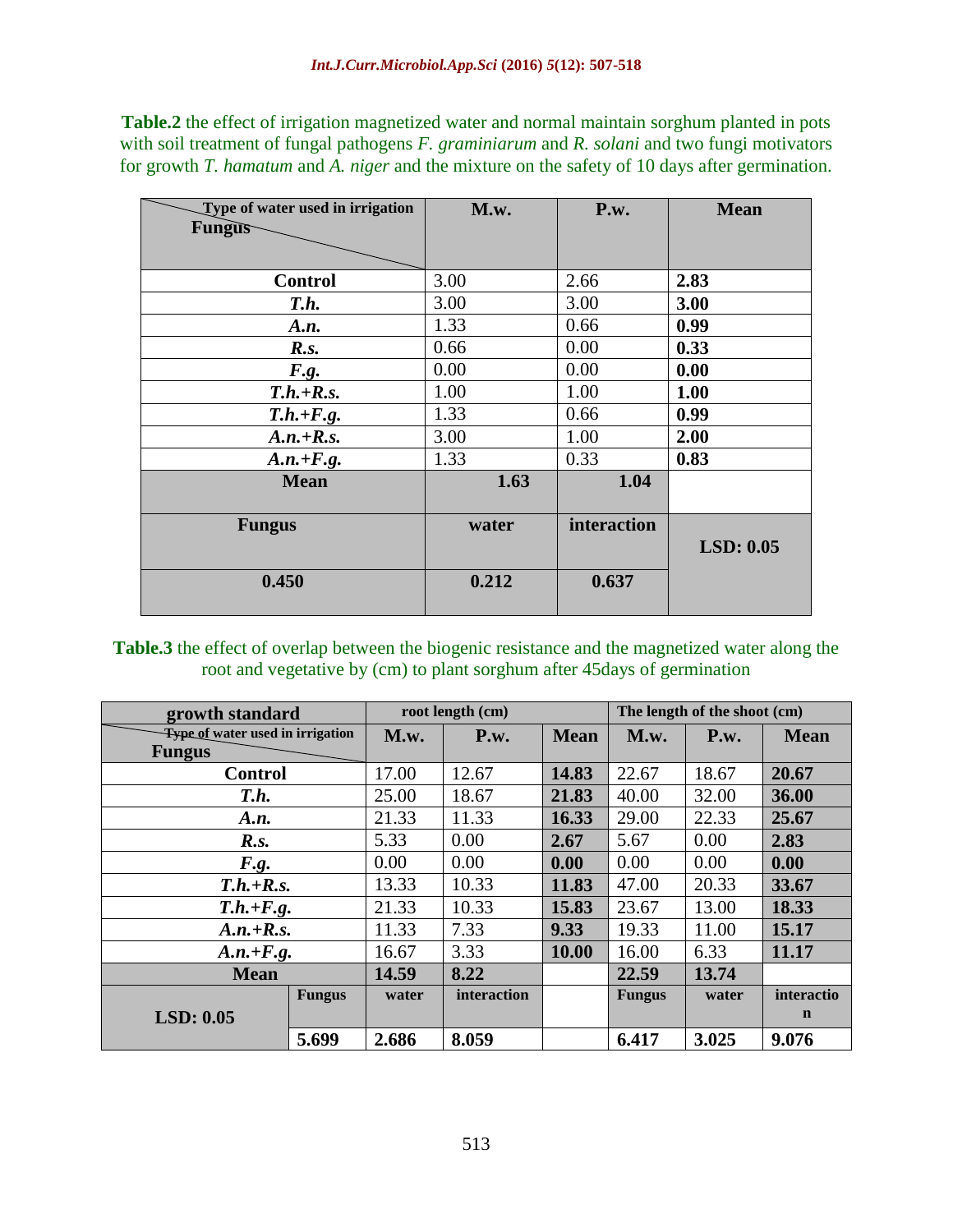**Table.2** the effect of irrigation magnetized water and normal maintain sorghum planted in pots with soil treatment of fungal pathogens *F. graminiarum* and *R. solani* and two fungi motivators for growth *T. hamatum* and *A. niger* and the mixture on the safety of 10 days after germination.

| M.w.  | P.w.         | <b>Mean</b>  |
|-------|--------------|--------------|
|       |              |              |
|       |              |              |
|       |              |              |
|       |              | 2.83         |
|       |              | 3.00         |
| 1.33  | 0.66         | 0.99         |
| 0.66  | 0.00         | 0.33         |
| 0.00  | 0.00         | 0.00         |
| 1.00  | 1.00         | 1.00         |
| 1.33  | 0.66         | 0.99         |
| 3.00  | 1.00         | 2.00         |
| 1.33  | 0.33         | 0.83         |
| 1.63  | 1.04         |              |
|       |              |              |
| water | interaction  |              |
|       |              | LSD: 0.05    |
|       |              |              |
| 0.212 | 0.637        |              |
|       |              |              |
|       | 3.00<br>3.00 | 2.66<br>3.00 |

**Table.3** the effect of overlap between the biogenic resistance and the magnetized water along the root and vegetative by (cm) to plant sorghum after 45days of germination

| growth standard                                          |               | root length (cm) |             |             | The length of the shoot (cm) |       |             |
|----------------------------------------------------------|---------------|------------------|-------------|-------------|------------------------------|-------|-------------|
| <b>Type of water used in irrigation</b><br><b>Fungus</b> |               | M.w.             | P.w.        | <b>Mean</b> | M.w.                         | P.w.  | <b>Mean</b> |
| <b>Control</b>                                           |               | 17.00            | 12.67       | 14.83       | 22.67                        | 18.67 | 20.67       |
| T.h.                                                     |               | 25.00            | 18.67       | 21.83       | 40.00                        | 32.00 | 36.00       |
| A.n.                                                     |               | 21.33            | 11.33       | 16.33       | 29.00                        | 22.33 | 25.67       |
| R.s.                                                     |               | 5.33             | 0.00        | 2.67        | 5.67                         | 0.00  | 2.83        |
| F.g.                                                     |               | 0.00             | 0.00        | 0.00        | 0.00                         | 0.00  | 0.00        |
| $T.h.+R.s.$                                              |               | 13.33            | 10.33       | 11.83       | 47.00                        | 20.33 | 33.67       |
| $T.h.+F.g.$                                              |               | 21.33            | 10.33       | 15.83       | 23.67                        | 13.00 | 18.33       |
| $A.n.+R.s.$                                              |               | 11.33            | 7.33        | 9.33        | 19.33                        | 11.00 | 15.17       |
| $A.n.+F.g.$                                              |               | 16.67            | 3.33        | 10.00       | 16.00                        | 6.33  | 11.17       |
| <b>Mean</b>                                              |               | 14.59            | 8.22        |             | 22.59                        | 13.74 |             |
|                                                          | <b>Fungus</b> | water            | interaction |             | <b>Fungus</b>                | water | interactio  |
| LSD: 0.05                                                |               |                  |             |             |                              |       | $\mathbf n$ |
| 5.699                                                    |               | 2.686            | 8.059       |             | 6.417                        | 3.025 | 9.076       |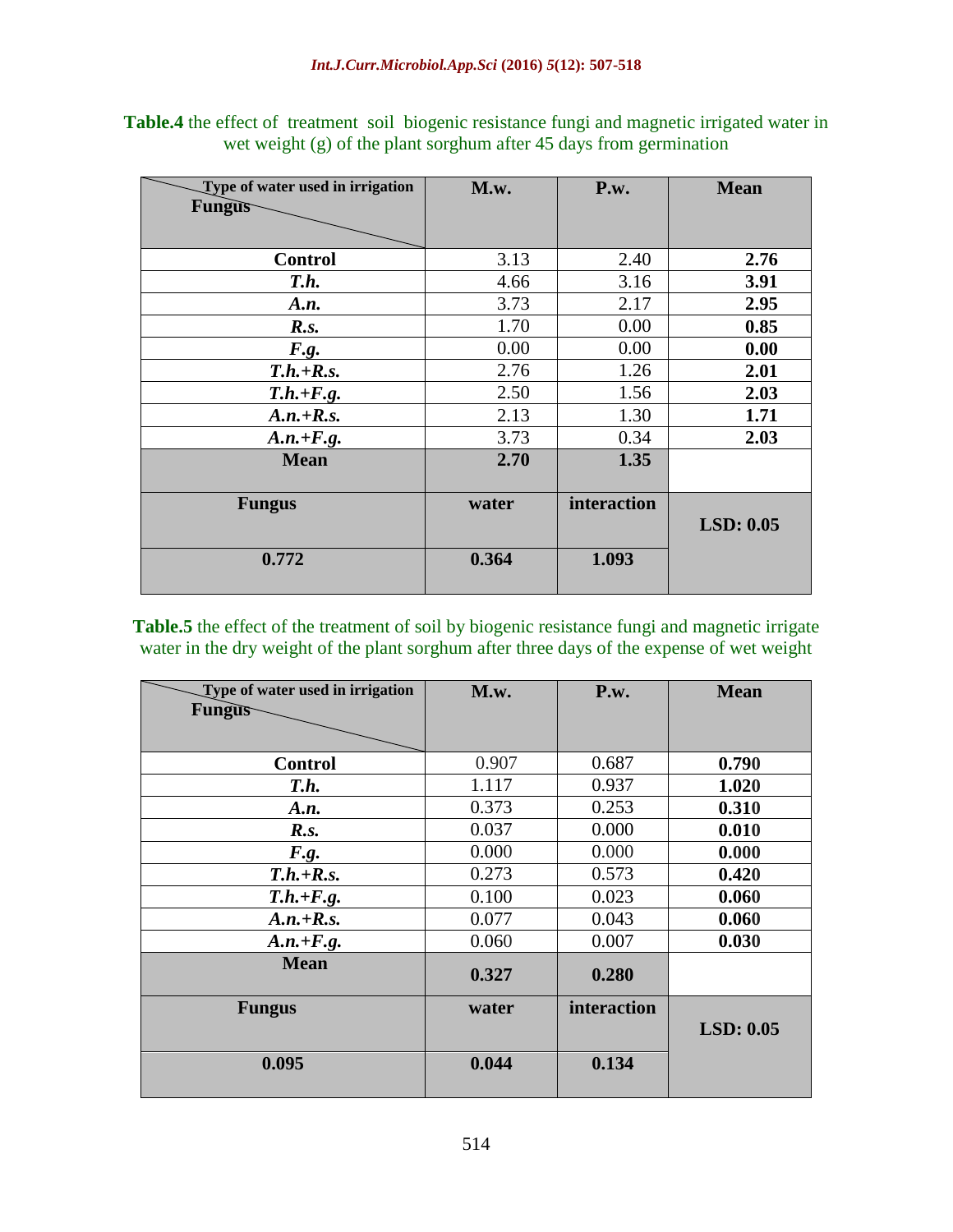|  | <b>Table.4</b> the effect of treatment soil biogenic resistance fungi and magnetic irrigated water in |  |  |  |  |
|--|-------------------------------------------------------------------------------------------------------|--|--|--|--|
|  | wet weight $(g)$ of the plant sorghum after 45 days from germination                                  |  |  |  |  |

| Type of water used in irrigation | M.w.  | P.w.        | <b>Mean</b> |
|----------------------------------|-------|-------------|-------------|
| <b>Fungus</b>                    |       |             |             |
|                                  |       |             |             |
| <b>Control</b>                   | 3.13  | 2.40        | 2.76        |
|                                  |       |             |             |
| T.h.                             | 4.66  | 3.16        | 3.91        |
| A.n.                             | 3.73  | 2.17        | 2.95        |
| R.s.                             | 1.70  | 0.00        | 0.85        |
| F.g.                             | 0.00  | 0.00        | 0.00        |
| $T.h.+R.s.$                      | 2.76  | 1.26        | 2.01        |
| $T.h.+F.g.$                      | 2.50  | 1.56        | 2.03        |
| $A.n.+R.s.$                      | 2.13  | 1.30        | 1.71        |
| $A.n.+F.g.$                      | 3.73  | 0.34        | 2.03        |
| <b>Mean</b>                      | 2.70  | 1.35        |             |
|                                  |       |             |             |
| <b>Fungus</b>                    | water | interaction |             |
|                                  |       |             | LSD: 0.05   |
|                                  |       |             |             |
| 0.772                            | 0.364 | 1.093       |             |
|                                  |       |             |             |

**Table.5** the effect of the treatment of soil by biogenic resistance fungi and magnetic irrigate water in the dry weight of the plant sorghum after three days of the expense of wet weight

| Type of water used in irrigation | M.w.  | P.w.        | <b>Mean</b> |
|----------------------------------|-------|-------------|-------------|
| <b>Fungus</b>                    |       |             |             |
|                                  |       |             |             |
| <b>Control</b>                   | 0.907 | 0.687       | 0.790       |
| T.h.                             | 1.117 | 0.937       | 1.020       |
| A.n.                             | 0.373 | 0.253       | 0.310       |
| R.s.                             | 0.037 | 0.000       | 0.010       |
| F.g.                             | 0.000 | 0.000       | 0.000       |
| $T.h.+R.s.$                      | 0.273 | 0.573       | 0.420       |
| $T.h.+F.g.$                      | 0.100 | 0.023       | 0.060       |
| $A.n.+R.s.$                      | 0.077 | 0.043       | 0.060       |
| $A.n.+F.g.$                      | 0.060 | 0.007       | 0.030       |
| <b>Mean</b>                      | 0.327 | 0.280       |             |
| <b>Fungus</b>                    | water | interaction | LSD: 0.05   |
| 0.095                            | 0.044 | 0.134       |             |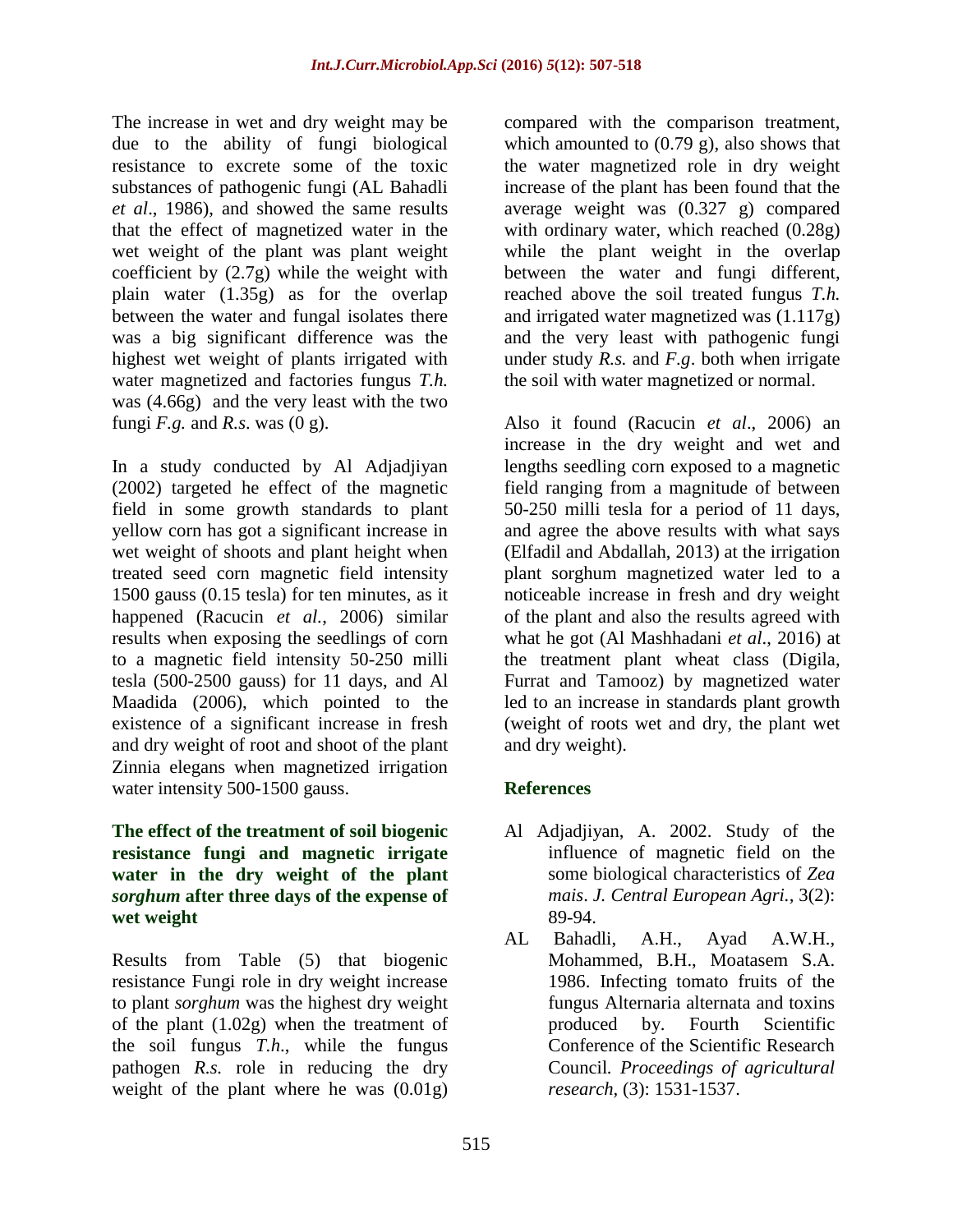The increase in wet and dry weight may be due to the ability of fungi biological resistance to excrete some of the toxic substances of pathogenic fungi (AL Bahadli *et al*., 1986), and showed the same results that the effect of magnetized water in the wet weight of the plant was plant weight coefficient by (2.7g) while the weight with plain water (1.35g) as for the overlap between the water and fungal isolates there was a big significant difference was the highest wet weight of plants irrigated with water magnetized and factories fungus *T.h.* was (4.66g) and the very least with the two fungi  $F.g.$  and  $R.s.$  was  $(0 g).$ 

In a study conducted by Al Adjadjiyan (2002) targeted he effect of the magnetic field in some growth standards to plant yellow corn has got a significant increase in wet weight of shoots and plant height when treated seed corn magnetic field intensity 1500 gauss (0.15 tesla) for ten minutes, as it happened (Racucin *et al.*, 2006) similar results when exposing the seedlings of corn to a magnetic field intensity 50-250 milli tesla (500-2500 gauss) for 11 days, and Al Maadida (2006), which pointed to the existence of a significant increase in fresh and dry weight of root and shoot of the plant Zinnia elegans when magnetized irrigation water intensity 500-1500 gauss.

## **The effect of the treatment of soil biogenic resistance fungi and magnetic irrigate water in the dry weight of the plant**  *sorghum* **after three days of the expense of wet weight**

Results from Table (5) that biogenic resistance Fungi role in dry weight increase to plant *sorghum* was the highest dry weight of the plant (1.02g) when the treatment of the soil fungus *T.h*., while the fungus pathogen *R.s.* role in reducing the dry weight of the plant where he was (0.01g) compared with the comparison treatment, which amounted to  $(0.79 \text{ g})$ , also shows that the water magnetized role in dry weight increase of the plant has been found that the average weight was (0.327 g) compared with ordinary water, which reached (0.28g) while the plant weight in the overlap between the water and fungi different, reached above the soil treated fungus *T.h.* and irrigated water magnetized was (1.117g) and the very least with pathogenic fungi under study *R.s.* and *F.g*. both when irrigate the soil with water magnetized or normal.

Also it found (Racucin *et al*., 2006) an increase in the dry weight and wet and lengths seedling corn exposed to a magnetic field ranging from a magnitude of between 50-250 milli tesla for a period of 11 days, and agree the above results with what says (Elfadil and Abdallah, 2013) at the irrigation plant sorghum magnetized water led to a noticeable increase in fresh and dry weight of the plant and also the results agreed with what he got (Al Mashhadani *et al*., 2016) at the treatment plant wheat class (Digila, Furrat and Tamooz) by magnetized water led to an increase in standards plant growth (weight of roots wet and dry, the plant wet and dry weight).

# **References**

- Al Adjadjiyan, A. 2002. Study of the influence of magnetic field on the some biological characteristics of *Zea mais*. *J. Central European Agri.,* 3(2): 89-94.
- AL Bahadli, A.H., Ayad A.W.H., Mohammed, B.H., Moatasem S.A. 1986. Infecting tomato fruits of the fungus Alternaria alternata and toxins produced by. Fourth Scientific Conference of the Scientific Research Council*. Proceedings of agricultural research,* (3): 1531-1537.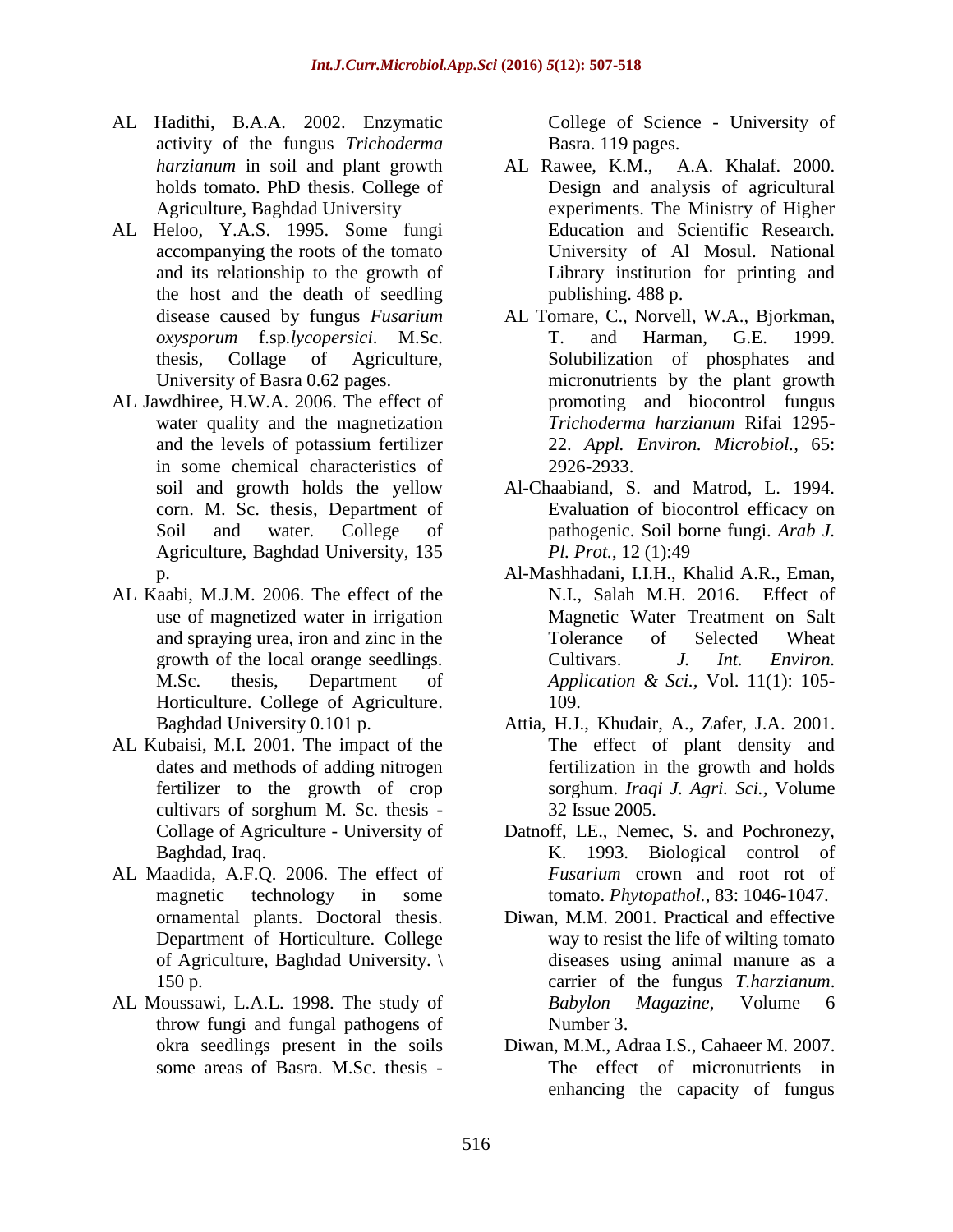- AL Hadithi, B.A.A. 2002. Enzymatic activity of the fungus *Trichoderma harzianum* in soil and plant growth holds tomato. PhD thesis. College of Agriculture, Baghdad University
- AL Heloo, Y.A.S. 1995. Some fungi accompanying the roots of the tomato and its relationship to the growth of the host and the death of seedling disease caused by fungus *Fusarium oxysporum* f.sp*.lycopersici*. M.Sc. thesis, Collage of Agriculture, University of Basra 0.62 pages.
- AL Jawdhiree, H.W.A. 2006. The effect of water quality and the magnetization and the levels of potassium fertilizer in some chemical characteristics of soil and growth holds the yellow corn. M. Sc. thesis, Department of Soil and water. College of Agriculture, Baghdad University, 135 p.
- AL Kaabi, M.J.M. 2006. The effect of the use of magnetized water in irrigation and spraying urea, iron and zinc in the growth of the local orange seedlings. M.Sc. thesis, Department of Horticulture. College of Agriculture. Baghdad University 0.101 p.
- AL Kubaisi, M.I. 2001. The impact of the dates and methods of adding nitrogen fertilizer to the growth of crop cultivars of sorghum M. Sc. thesis - Collage of Agriculture - University of Baghdad, Iraq.
- AL Maadida, A.F.Q. 2006. The effect of magnetic technology in some ornamental plants. Doctoral thesis. Department of Horticulture. College of Agriculture, Baghdad University. \ 150 p.
- AL Moussawi, L.A.L. 1998. The study of throw fungi and fungal pathogens of okra seedlings present in the soils some areas of Basra. M.Sc. thesis -

College of Science - University of Basra. 119 pages.

- AL Rawee, K.M., A.A. Khalaf. 2000. Design and analysis of agricultural experiments. The Ministry of Higher Education and Scientific Research. University of Al Mosul. National Library institution for printing and publishing. 488 p.
- AL Tomare, C., Norvell, W.A., Bjorkman, T. and Harman, G.E. 1999. Solubilization of phosphates and micronutrients by the plant growth promoting and biocontrol fungus *Trichoderma harzianum* Rifai 1295- 22. *Appl. Environ. Microbiol.,* 65: 2926-2933.
- Al-Chaabiand, S. and Matrod, L. 1994. Evaluation of biocontrol efficacy on pathogenic. Soil borne fungi. *Arab J. Pl. Prot.*, 12 (1):49
- Al-Mashhadani, I.I.H., Khalid A.R., Eman, N.I., Salah M.H. 2016. Effect of Magnetic Water Treatment on Salt Tolerance of Selected Wheat Cultivars. *J. Int. Environ. Application & Sci.,* Vol. 11(1): 105- 109.
- Attia, H.J., Khudair, A., Zafer, J.A. 2001. The effect of plant density and fertilization in the growth and holds sorghum. *Iraqi J. Agri. Sci.,* Volume 32 Issue 2005.
- Datnoff, LE., Nemec, S. and Pochronezy, K. 1993. Biological control of *Fusarium* crown and root rot of tomato. *Phytopathol.,* 83: 1046-1047.
- Diwan, M.M. 2001. Practical and effective way to resist the life of wilting tomato diseases using animal manure as a carrier of the fungus *T.harzianum*. *Babylon Magazine*, Volume 6 Number 3.
- Diwan, M.M., Adraa I.S., Cahaeer M. 2007. The effect of micronutrients in enhancing the capacity of fungus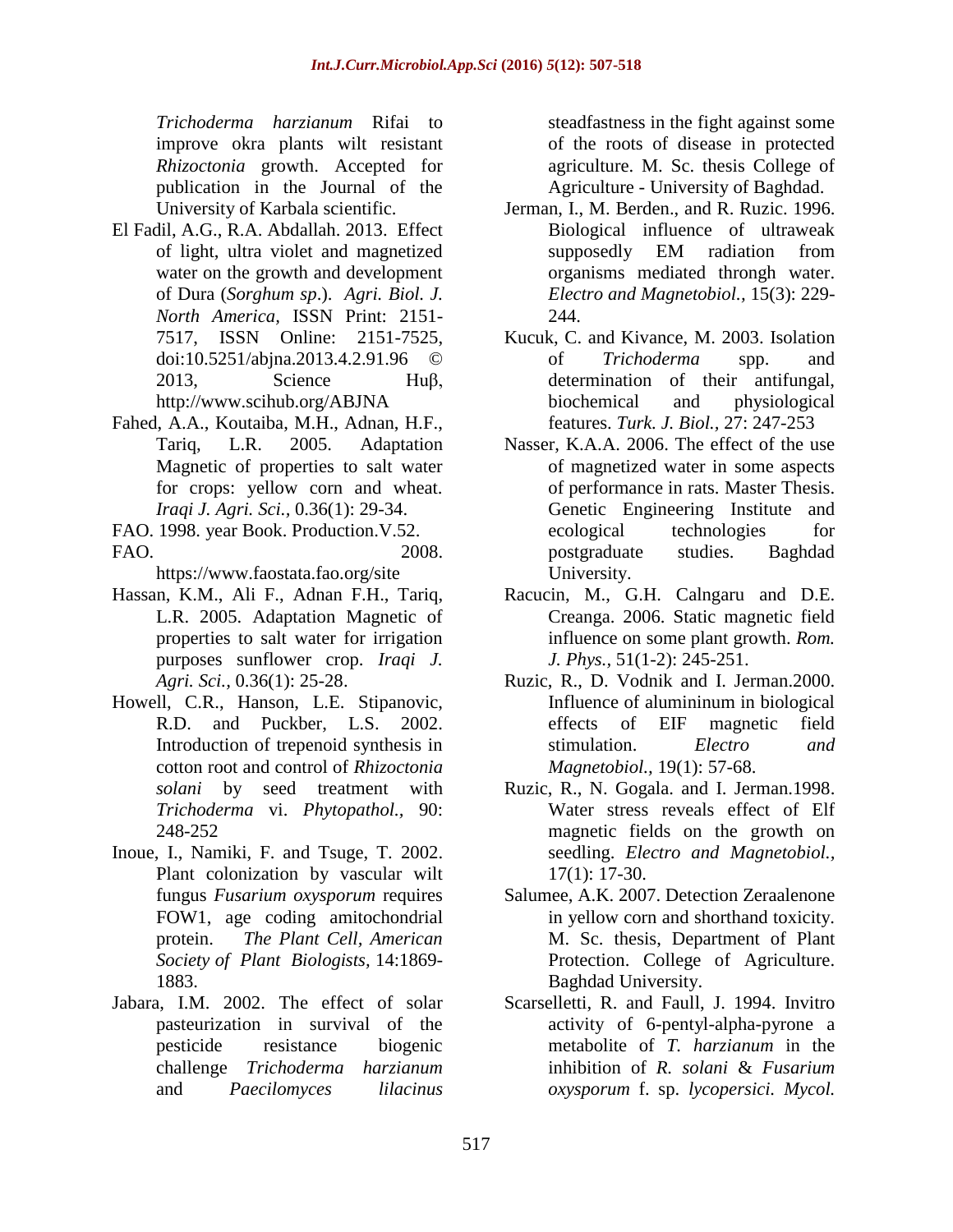*Trichoderma harzianum* Rifai to improve okra plants wilt resistant *Rhizoctonia* growth. Accepted for publication in the Journal of the University of Karbala scientific.

- El Fadil, A.G., R.A. Abdallah. 2013. Effect of light, ultra violet and magnetized water on the growth and development of Dura (*Sorghum sp*.). *Agri. Biol. J. North America,* ISSN Print: 2151- 7517, ISSN Online: 2151-7525, doi:10.5251/abjna.2013.4.2.91.96 © 2013, Science Huβ, <http://www.scihub.org/ABJNA>
- Fahed, A.A., Koutaiba, M.H., Adnan, H.F., Tariq, L.R. 2005. Adaptation Magnetic of properties to salt water for crops: yellow corn and wheat. *Iraqi J. Agri. Sci.,* 0.36(1): 29-34.
- FAO. 1998. year Book. Production.V.52. FAO. 2008.

https://www.faostata.fao.org/site

- Hassan, K.M., Ali F., Adnan F.H., Tariq, L.R. 2005. Adaptation Magnetic of properties to salt water for irrigation purposes sunflower crop. *Iraqi J. Agri. Sci.,* 0.36(1): 25-28.
- Howell, C.R., Hanson, L.E. Stipanovic, R.D. and Puckber, L.S. 2002. Introduction of trepenoid synthesis in cotton root and control of *Rhizoctonia solani* by seed treatment with *Trichoderma* vi. *Phytopathol.,* 90: 248-252
- Inoue, I., Namiki, F. and Tsuge, T. 2002. Plant colonization by vascular wilt fungus *Fusarium oxysporum* requires FOW1, age coding amitochondrial protein. *The Plant Cell, American Society of Plant Biologists,* 14:1869- 1883.
- Jabara, I.M. 2002. The effect of solar pasteurization in survival of the pesticide resistance biogenic challenge *Trichoderma harzianum* and *Paecilomyces lilacinus*

steadfastness in the fight against some of the roots of disease in protected agriculture. M. Sc. thesis College of Agriculture - University of Baghdad.

- Jerman, I., M. Berden., and R. Ruzic. 1996. Biological influence of ultraweak supposedly EM radiation from organisms mediated throngh water. *Electro and Magnetobiol.,* 15(3): 229- 244.
- Kucuk, C. and Kivance, M. 2003. Isolation of *Trichoderma* spp. and determination of their antifungal, biochemical and physiological features. *Turk. J. Biol.,* 27: 247-253
- Nasser, K.A.A. 2006. The effect of the use of magnetized water in some aspects of performance in rats. Master Thesis. Genetic Engineering Institute and ecological technologies for postgraduate studies. Baghdad University.
- Racucin, M., G.H. Calngaru and D.E. Creanga. 2006. Static magnetic field influence on some plant growth. *Rom. J. Phys.,* 51(1-2): 245-251.
- Ruzic, R., D. Vodnik and I. Jerman.2000. Influence of alumininum in biological effects of EIF magnetic field stimulation. *Electro and Magnetobiol.,* 19(1): 57-68.
- Ruzic, R., N. Gogala. and I. Jerman.1998. Water stress reveals effect of Elf magnetic fields on the growth on seedling. *Electro and Magnetobiol.,*  17(1): 17-30.
- Salumee, A.K. 2007. Detection Zeraalenone in yellow corn and shorthand toxicity. M. Sc. thesis, Department of Plant Protection. College of Agriculture. Baghdad University.
- Scarselletti, R. and Faull, J. 1994. Invitro activity of 6-pentyl-alpha-pyrone a metabolite of *T. harzianum* in the inhibition of *R. solani* & *Fusarium oxysporum* f. sp. *lycopersici. Mycol.*